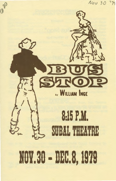# $N_{OV}$  30 74 SINO 8:15P.M. SUBAL THEATRE 101.30 • DEC.8, 1979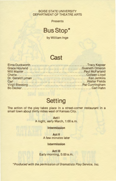### BOISE STATE UNIVERSITY DEPARTMENT OF THEATRE ARTS

**Presents** 

## **Bus Stop\***

by William lnge

### **Cast**

| Grace Hoyland Gueneth Omeron |  |
|------------------------------|--|
|                              |  |
|                              |  |
|                              |  |
|                              |  |
|                              |  |
|                              |  |

# **Setting**

The action of the play takes place in a street-corner restaurant in a small town about thirty miles west of Kansas City.

> **Act** I A night, early March, 1:00 a.m.

> > **Intermission**

**Act II**  A few minutes later

### **Intermission**

**Act** Ill Early morning, 5:00 a.m.

\*Produced with the permission of Dramatists Play Service, Inc.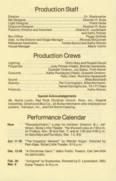# **Production Staff**

| Publicity Director and Assistant Charles E. Lauterbach   |                  |
|----------------------------------------------------------|------------------|
|                                                          | and Kathy Robran |
|                                                          |                  |
| Asst. to the Director and Stage Manager Rhonda McConnell |                  |
| Rehearsal Assistants Teresa Sproul and Kathy Robran      |                  |
|                                                          |                  |

# **Production Crews**

| Lighting Chris Gray and Russell Gould            |
|--------------------------------------------------|
| Properties Judy Pitman (Head), Brenda Castaneda, |
| Gueneth Omeron, Joy Bates, Trish Moore           |
|                                                  |
| Patty Clark, Rochelle Hazelworth                 |
|                                                  |
| SceneryPat Cunningham, Mike Borchardt,           |
| Darien Springthorpe, TA 117 Class                |
|                                                  |

### **Special Acknowledgements**

Mr. Norris Lynch, Red Rock Christian Church, lfeco, Inc., Deseret Industries, Greyhound Bus Co., all Boise merchants who displayed our posters, Trailways, Inc., and Old World Catering.

## **Performance Calendar**

| <b>Now</b> | "Rumpelstiltskin," a play for children. Director: B.J. Jef-<br>ferson. Boise Little Theater. The show will play at 7:00 p.m. |
|------------|------------------------------------------------------------------------------------------------------------------------------|
|            | on Fridays, Nov. 30 and Dec. 7; and at 1:00 and 4:00 p.m.                                                                    |
|            | on Saturdays and Sundays, Dec. 1-2, 8-9.                                                                                     |

- **Jan. 11-19** "The Inspector General" by Nikolai Gogol. Directed by Pam Abas. Boise Little Theater. 8:15 p.m.
- **Dec. 13-29** "A Christmas Carol." Idaho Public Theatre. Call 344-2434 for particulars.

### **Feb. 29- Mar. 8** "Antigone" by Sophocles. Directed by C. Lauterbach. BSU Subal Theatre. 8:15 p.m.